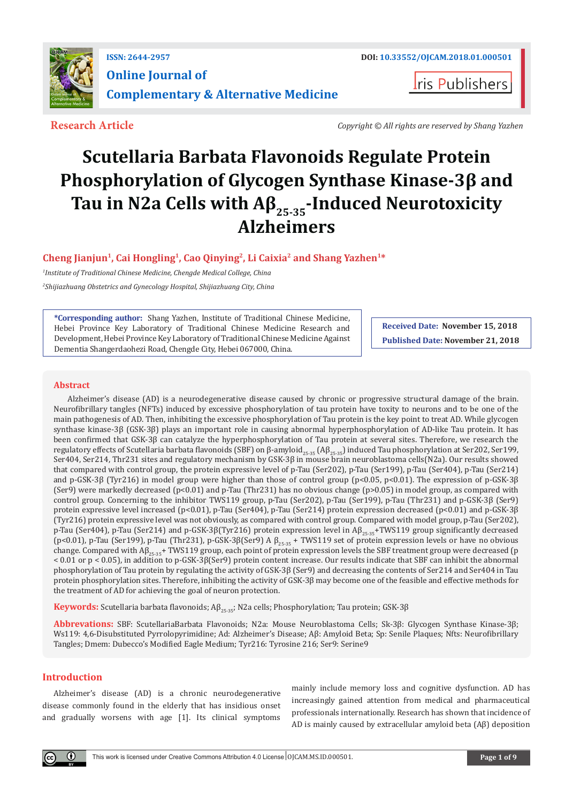

**ris Publishers** 

**Research Article** *Copyright © All rights are reserved by Shang Yazhen*

# **Scutellaria Barbata Flavonoids Regulate Protein Phosphorylation of Glycogen Synthase Kinase-3β and Tau in N2a Cells with Aβ25-35-Induced Neurotoxicity Alzheimers**

**Cheng Jianjun1, Cai Hongling1, Cao Qinying2, Li Caixia2 and Shang Yazhen1\***

*1 Institute of Traditional Chinese Medicine, Chengde Medical College, China*

*2 Shijiazhuang Obstetrics and Gynecology Hospital, Shijiazhuang City, China*

**\*Corresponding author:** Shang Yazhen, Institute of Traditional Chinese Medicine, Hebei Province Key Laboratory of Traditional Chinese Medicine Research and Development, Hebei Province Key Laboratory of Traditional Chinese Medicine Against Dementia Shangerdaohezi Road, Chengde City, Hebei 067000, China.

**Received Date: November 15, 2018 Published Date: November 21, 2018**

# **Abstract**

Alzheimer's disease (AD) is a neurodegenerative disease caused by chronic or progressive structural damage of the brain. Neurofibrillary tangles (NFTs) induced by excessive phosphorylation of tau protein have toxity to neurons and to be one of the main pathogenesis of AD. Then, inhibiting the excessive phosphorylation of Tau protein is the key point to treat AD. While glycogen synthase kinase-3β (GSK-3β) plays an important role in causing abnormal hyperphosphorylation of AD-like Tau protein. It has been confirmed that GSK-3β can catalyze the hyperphosphorylation of Tau protein at several sites. Therefore, we research the regulatory effects of Scutellaria barbata flavonoids (SBF) on β-amyloid<sub>25-35</sub> (Aβ<sub>25-35</sub>) induced Tau phosphorylation at Ser202, Ser199, Ser404, Ser214, Thr231 sites and regulatory mechanism by GSK-3β in mouse brain neuroblastoma cells(N2a). Our results showed that compared with control group, the protein expressive level of p-Tau (Ser202), p-Tau (Ser199), p-Tau (Ser404), p-Tau (Ser214) and p-GSK-3β (Tyr216) in model group were higher than those of control group (p<0.05, p<0.01). The expression of p-GSK-3β (Ser9) were markedly decreased (p<0.01) and p-Tau (Thr231) has no obvious change (p>0.05) in model group, as compared with control group. Concerning to the inhibitor TWS119 group, p-Tau (Ser202), p-Tau (Ser199), p-Tau (Thr231) and p-GSK-3β (Ser9) protein expressive level increased (p<0.01), p-Tau (Ser404), p-Tau (Ser214) protein expression decreased (p<0.01) and p-GSK-3β (Tyr216) protein expressive level was not obviously, as compared with control group. Compared with model group, p-Tau (Ser202), p-Tau (Ser404), p-Tau (Ser214) and p-GSK-3β(Tyr216) protein expression level in  $\mathsf{AB}_{25\text{-}35}$ +TWS119 group significantly decreased (p<0.01), p-Tau (Ser199), p-Tau (Thr231), p-GSK-3β(Ser9) A  $β_{25\cdot35}$  + TWS119 set of protein expression levels or have no obvious change. Compared with  $AB_{25.35}$ + TWS119 group, each point of protein expression levels the SBF treatment group were decreased (p < 0.01 or p < 0.05), in addition to p-GSK-3β(Ser9) protein content increase. Our results indicate that SBF can inhibit the abnormal phosphorylation of Tau protein by regulating the activity of GSK-3β (Ser9) and decreasing the contents of Ser214 and Ser404 in Tau protein phosphorylation sites. Therefore, inhibiting the activity of GSK-3β may become one of the feasible and effective methods for the treatment of AD for achieving the goal of neuron protection.

**Keywords:** Scutellaria barbata flavonoids; Aβ<sub>25-35</sub>; N2a cells; Phosphorylation; Tau protein; GSK-3β

**Abbrevations:** SBF: ScutellariaBarbata Flavonoids; N2a: Mouse Neuroblastoma Cells; Sk-3β: Glycogen Synthase Kinase-3β; Ws119: 4,6-Disubstituted Pyrrolopyrimidine; Ad: Alzheimer's Disease; Aβ: Amyloid Beta; Sp: Senile Plaques; Nfts: Neurofibrillary Tangles; Dmem: Dubecco's Modified Eagle Medium; Tyr216: Tyrosine 216; Ser9: Serine9

# **Introduction**

 $\left( \mathbf{r} \right)$ 

Alzheimer's disease (AD) is a chronic neurodegenerative disease commonly found in the elderly that has insidious onset and gradually worsens with age [1]. Its clinical symptoms

mainly include memory loss and cognitive dysfunction. AD has increasingly gained attention from medical and pharmaceutical professionals internationally. Research has shown that incidence of AD is mainly caused by extracellular amyloid beta (Aβ) deposition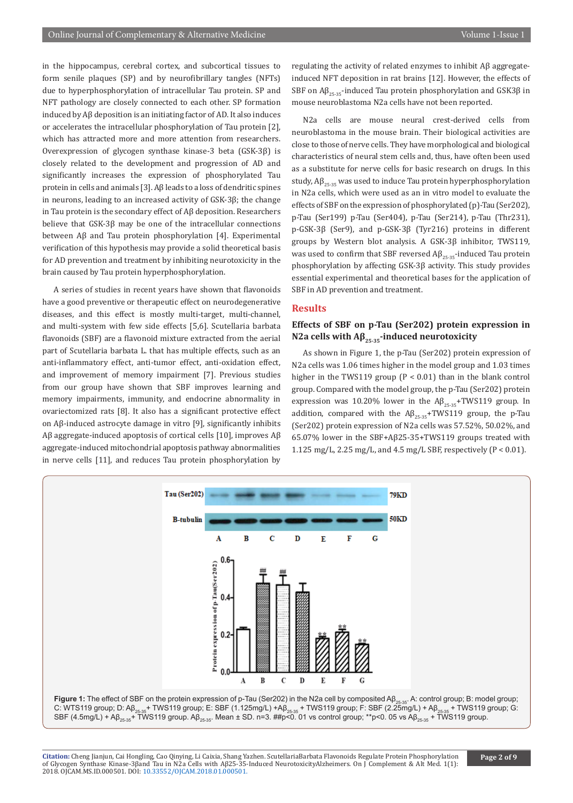in the hippocampus, cerebral cortex, and subcortical tissues to form senile plaques (SP) and by neurofibrillary tangles (NFTs) due to hyperphosphorylation of intracellular Tau protein. SP and NFT pathology are closely connected to each other. SP formation induced by Aβ deposition is an initiating factor of AD. It also induces or accelerates the intracellular phosphorylation of Tau protein [2], which has attracted more and more attention from researchers. Overexpression of glycogen synthase kinase-3 beta (GSK-3β) is closely related to the development and progression of AD and significantly increases the expression of phosphorylated Tau protein in cells and animals [3]. Aβ leads to a loss of dendritic spines in neurons, leading to an increased activity of GSK-3β; the change in Tau protein is the secondary effect of Aβ deposition. Researchers believe that GSK-3β may be one of the intracellular connections between Aβ and Tau protein phosphorylation [4]. Experimental verification of this hypothesis may provide a solid theoretical basis for AD prevention and treatment by inhibiting neurotoxicity in the brain caused by Tau protein hyperphosphorylation.

A series of studies in recent years have shown that flavonoids have a good preventive or therapeutic effect on neurodegenerative diseases, and this effect is mostly multi-target, multi-channel, and multi-system with few side effects [5,6]. Scutellaria barbata flavonoids (SBF) are a flavonoid mixture extracted from the aerial part of Scutellaria barbata L. that has multiple effects, such as an anti-inflammatory effect, anti-tumor effect, anti-oxidation effect, and improvement of memory impairment [7]. Previous studies from our group have shown that SBF improves learning and memory impairments, immunity, and endocrine abnormality in ovariectomized rats [8]. It also has a significant protective effect on Aβ-induced astrocyte damage in vitro [9], significantly inhibits Aβ aggregate-induced apoptosis of cortical cells [10], improves Aβ aggregate-induced mitochondrial apoptosis pathway abnormalities in nerve cells [11], and reduces Tau protein phosphorylation by

2018. OJCAM.MS.ID.000501. DOI: 10.33552/OJCAM.2018.01.000501.

regulating the activity of related enzymes to inhibit Aβ aggregateinduced NFT deposition in rat brains [12]. However, the effects of SBF on  $A\beta_{25.25}$ -induced Tau protein phosphorylation and GSK3 $\beta$  in mouse neuroblastoma N2a cells have not been reported.

N2a cells are mouse neural crest-derived cells from neuroblastoma in the mouse brain. Their biological activities are close to those of nerve cells. They have morphological and biological characteristics of neural stem cells and, thus, have often been used as a substitute for nerve cells for basic research on drugs. In this study,  $A\beta_{25-35}$  was used to induce Tau protein hyperphosphorylation in N2a cells, which were used as an in vitro model to evaluate the effects of SBF on the expression of phosphorylated (p)-Tau (Ser202), p-Tau (Ser199) p-Tau (Ser404), p-Tau (Ser214), p-Tau (Thr231), p-GSK-3β (Ser9), and p-GSK-3β (Tyr216) proteins in different groups by Western blot analysis. A GSK-3β inhibitor, TWS119, was used to confirm that SBF reversed  $\text{A}\beta_{25\cdot35}$ -induced Tau protein phosphorylation by affecting GSK-3β activity. This study provides essential experimental and theoretical bases for the application of SBF in AD prevention and treatment.

## **Results**

# **Effects of SBF on p-Tau (Ser202) protein expression in N2a cells with Aβ25-35-induced neurotoxicity**

As shown in Figure 1, the p-Tau (Ser202) protein expression of N2a cells was 1.06 times higher in the model group and 1.03 times higher in the TWS119 group ( $P < 0.01$ ) than in the blank control group. Compared with the model group, the p-Tau (Ser202) protein expression was 10.20% lower in the  $AB_{25\cdot35}$ +TWS119 group. In addition, compared with the  $\mathsf{A}\beta_{25\cdot35}$ +TWS119 group, the p-Tau (Ser202) protein expression of N2a cells was 57.52%, 50.02%, and 65.07% lower in the SBF+Aβ25-35+TWS119 groups treated with 1.125 mg/L, 2.25 mg/L, and 4.5 mg/L SBF, respectively (P < 0.01).



**Citation:** Cheng Jianjun, Cai Hongling, Cao Qinying, Li Caixia, Shang Yazhen. ScutellariaBarbata Flavonoids Regulate Protein Phosphorylation

of Glycogen Synthase Kinase-3βa[nd Tau in N2a Cells with Aβ25-35](http://dx.doi.org/10.33552/OJCAM.2018.01.000501)-Induced NeurotoxicityAlzheimers. On J Complement & Alt Med. 1(1):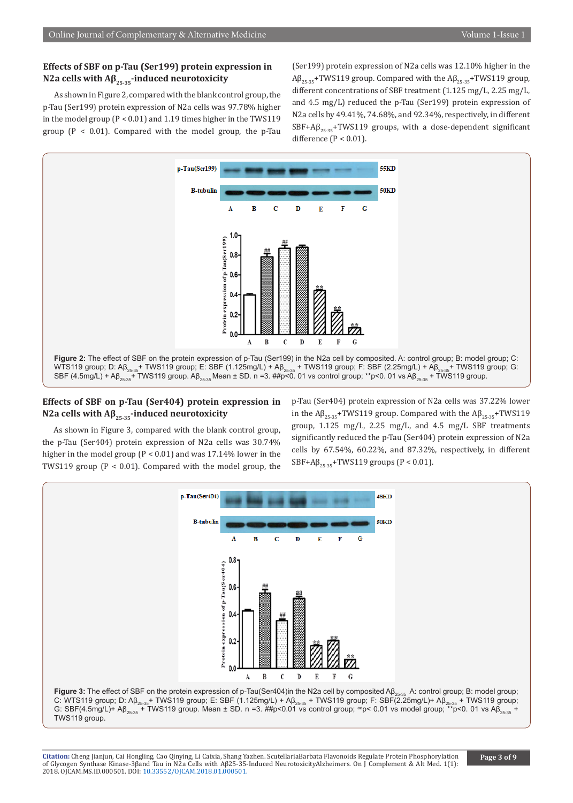# **Effects of SBF on p-Tau (Ser199) protein expression in N2a cells with**  $\mathbf{A}\beta_{25,35}$ **-induced neurotoxicity**

As shown in Figure 2, compared with the blank control group, the p-Tau (Ser199) protein expression of N2a cells was 97.78% higher in the model group (P < 0.01) and 1.19 times higher in the TWS119 group ( $P < 0.01$ ). Compared with the model group, the p-Tau (Ser199) protein expression of N2a cells was 12.10% higher in the  $A\beta_{25-35}$ +TWS119 group. Compared with the  $A\beta_{25-35}$ +TWS119 group, different concentrations of SBF treatment (1.125 mg/L, 2.25 mg/L, and 4.5 mg/L) reduced the p-Tau (Ser199) protein expression of N2a cells by 49.41%, 74.68%, and 92.34%, respectively, in different  $SBF+AG_{25-25}$ +TWS119 groups, with a dose-dependent significant difference  $(P < 0.01)$ .



# **Effects of SBF on p-Tau (Ser404) protein expression in N2a cells with Aβ25-35-induced neurotoxicity**

As shown in Figure 3, compared with the blank control group, the p-Tau (Ser404) protein expression of N2a cells was 30.74% higher in the model group (P < 0.01) and was 17.14% lower in the TWS119 group (P < 0.01). Compared with the model group, the

p-Tau (Ser404) protein expression of N2a cells was 37.22% lower in the  $\text{AB}_{25-35}$ +TWS119 group. Compared with the  $\text{AB}_{25-35}$ +TWS119 group, 1.125 mg/L, 2.25 mg/L, and 4.5 mg/L SBF treatments significantly reduced the p-Tau (Ser404) protein expression of N2a cells by 67.54%, 60.22%, and 87.32%, respectively, in different  $SBF + A\beta_{25-35}$ +TWS119 groups (P < 0.01).

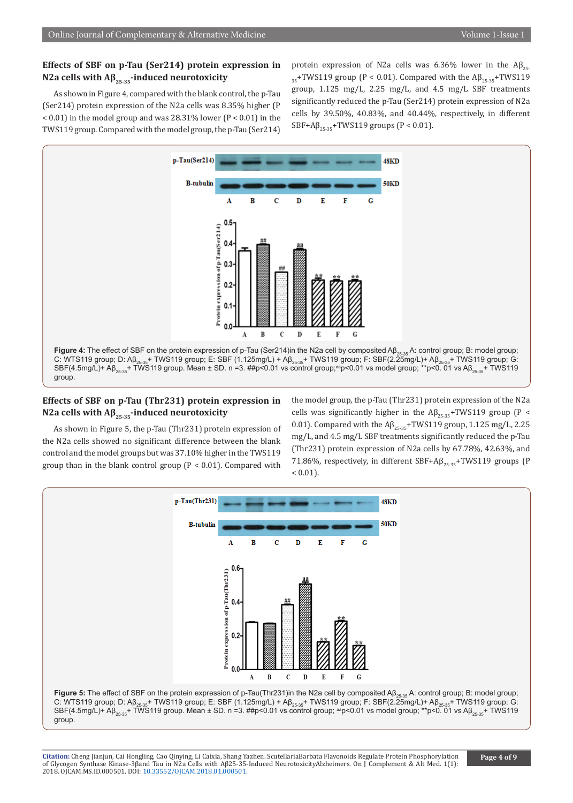## **Effects of SBF on p-Tau (Ser214) protein expression in N2a cells with Aβ25-35-induced neurotoxicity**

As shown in Figure 4, compared with the blank control, the p-Tau (Ser214) protein expression of the N2a cells was 8.35% higher (P  $< 0.01$ ) in the model group and was 28.31% lower (P  $< 0.01$ ) in the TWS119 group. Compared with the model group, the p-Tau (Ser214)

protein expression of N2a cells was 6.36% lower in the  $Aβ_{25}$  $355$ +TWS119 group (P < 0.01). Compared with the Aβ<sub>25-35</sub>+TWS119 group, 1.125 mg/L, 2.25 mg/L, and 4.5 mg/L SBF treatments significantly reduced the p-Tau (Ser214) protein expression of N2a cells by 39.50%, 40.83%, and 40.44%, respectively, in different  $SBF+A\beta_{25-35}+TWS119$  groups (P < 0.01).



# **Effects of SBF on p-Tau (Thr231) protein expression in N2a cells with Aβ25-35-induced neurotoxicity**

As shown in Figure 5, the p-Tau (Thr231) protein expression of the N2a cells showed no significant difference between the blank control and the model groups but was 37.10% higher in the TWS119 group than in the blank control group ( $P < 0.01$ ). Compared with

the model group, the p-Tau (Thr231) protein expression of the N2a cells was significantly higher in the  $AB_{25-35}$ +TWS119 group (P < 0.01). Compared with the  $\mathsf{AB}_{25,35}$ +TWS119 group, 1.125 mg/L, 2.25 mg/L, and 4.5 mg/L SBF treatments significantly reduced the p-Tau (Thr231) protein expression of N2a cells by 67.78%, 42.63%, and 71.86%, respectively, in different SBF+A $\beta_{25-35}$ +TWS119 groups (P  $< 0.01$ ).

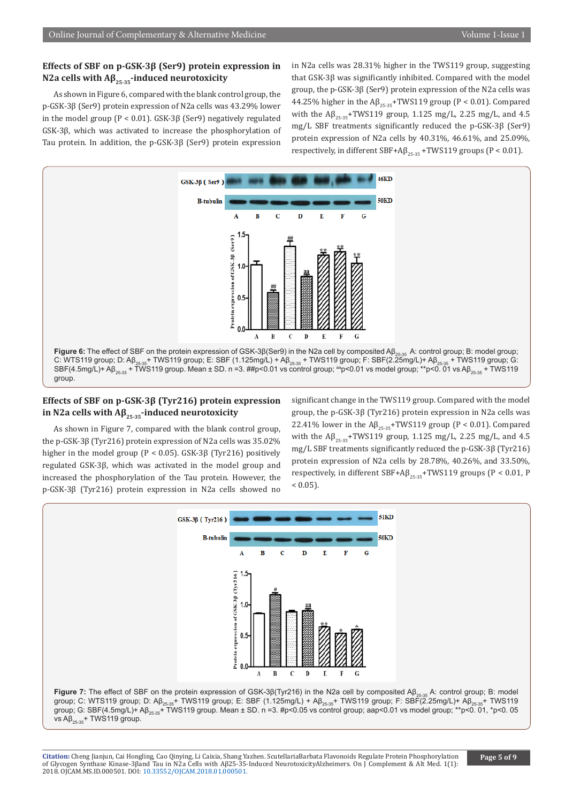## **Effects of SBF on p-GSK-3β (Ser9) protein expression in N2a cells with Aβ25-35-induced neurotoxicity**

As shown in Figure 6, compared with the blank control group, the p-GSK-3β (Ser9) protein expression of N2a cells was 43.29% lower in the model group (P < 0.01). GSK-3β (Ser9) negatively regulated GSK-3β, which was activated to increase the phosphorylation of Tau protein. In addition, the p-GSK-3β (Ser9) protein expression

in N2a cells was 28.31% higher in the TWS119 group, suggesting that GSK-3β was significantly inhibited. Compared with the model group, the p-GSK-3β (Ser9) protein expression of the N2a cells was 44.25% higher in the  $AB_{25\cdot35}$ +TWS119 group (P < 0.01). Compared with the  $AB_{25-35}$ +TWS119 group, 1.125 mg/L, 2.25 mg/L, and 4.5 mg/L SBF treatments significantly reduced the p-GSK-3β (Ser9) protein expression of N2a cells by 40.31%, 46.61%, and 25.09%, respectively, in different SBF+A $\beta_{25-35}$  +TWS119 groups (P < 0.01).



# **Effects of SBF on p-GSK-3β (Tyr216) protein expression in N2a cells with Aβ25-35-induced neurotoxicity**

As shown in Figure 7, compared with the blank control group, the p-GSK-3β (Tyr216) protein expression of N2a cells was 35.02% higher in the model group (P < 0.05). GSK-3β (Tyr216) positively regulated GSK-3β, which was activated in the model group and increased the phosphorylation of the Tau protein. However, the p-GSK-3β (Tyr216) protein expression in N2a cells showed no significant change in the TWS119 group. Compared with the model group, the p-GSK-3β (Tyr216) protein expression in N2a cells was 22.41% lower in the  $\mathbb{AB}_{25,35}$ +TWS119 group (P < 0.01). Compared with the  $\mathsf{A}\beta_{25-35}$ +TWS119 group, 1.125 mg/L, 2.25 mg/L, and 4.5 mg/L SBF treatments significantly reduced the p-GSK-3β (Tyr216) protein expression of N2a cells by 28.78%, 40.26%, and 33.50%, respectively, in different SBF+A $\beta_{25-35}$ +TWS119 groups (P < 0.01, P  $< 0.05$ ).

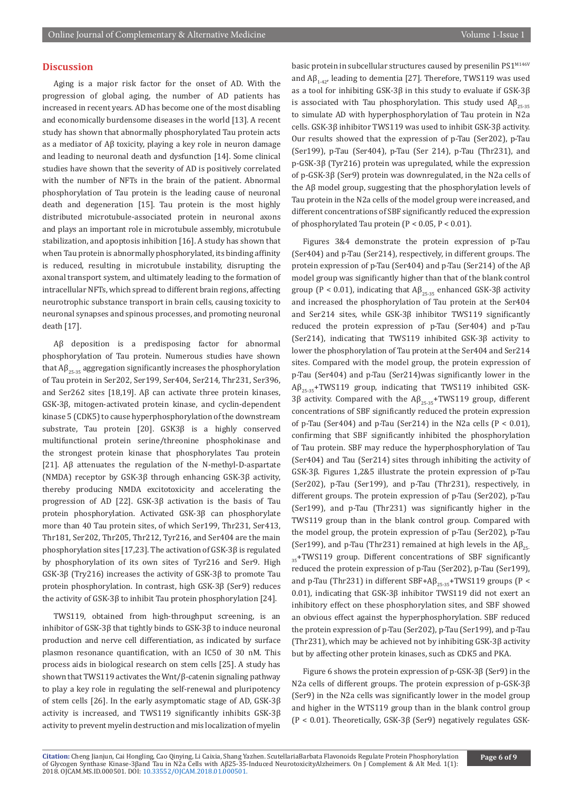## **Discussion**

Aging is a major risk factor for the onset of AD. With the progression of global aging, the number of AD patients has increased in recent years. AD has become one of the most disabling and economically burdensome diseases in the world [13]. A recent study has shown that abnormally phosphorylated Tau protein acts as a mediator of Aβ toxicity, playing a key role in neuron damage and leading to neuronal death and dysfunction [14]. Some clinical studies have shown that the severity of AD is positively correlated with the number of NFTs in the brain of the patient. Abnormal phosphorylation of Tau protein is the leading cause of neuronal death and degeneration [15]. Tau protein is the most highly distributed microtubule-associated protein in neuronal axons and plays an important role in microtubule assembly, microtubule stabilization, and apoptosis inhibition [16]. A study has shown that when Tau protein is abnormally phosphorylated, its binding affinity is reduced, resulting in microtubule instability, disrupting the axonal transport system, and ultimately leading to the formation of intracellular NFTs, which spread to different brain regions, affecting neurotrophic substance transport in brain cells, causing toxicity to neuronal synapses and spinous processes, and promoting neuronal death [17].

Aβ deposition is a predisposing factor for abnormal phosphorylation of Tau protein. Numerous studies have shown that  $A\beta_{25-35}$  aggregation significantly increases the phosphorylation of Tau protein in Ser202, Ser199, Ser404, Ser214, Thr231, Ser396, and Ser262 sites [18,19]. Aβ can activate three protein kinases, GSK-3β, mitogen-activated protein kinase, and cyclin-dependent kinase 5 (CDK5) to cause hyperphosphorylation of the downstream substrate, Tau protein [20]. GSK3β is a highly conserved multifunctional protein serine/threonine phosphokinase and the strongest protein kinase that phosphorylates Tau protein [21]. Aβ attenuates the regulation of the N-methyl-D-aspartate (NMDA) receptor by GSK-3β through enhancing GSK-3β activity, thereby producing NMDA excitotoxicity and accelerating the progression of AD [22]. GSK-3β activation is the basis of Tau protein phosphorylation. Activated GSK-3β can phosphorylate more than 40 Tau protein sites, of which Ser199, Thr231, Ser413, Thr181, Ser202, Thr205, Thr212, Tyr216, and Ser404 are the main phosphorylation sites [17,23]. The activation of GSK-3β is regulated by phosphorylation of its own sites of Tyr216 and Ser9. High GSK-3β (Try216) increases the activity of GSK-3β to promote Tau protein phosphorylation. In contrast, high GSK-3β (Ser9) reduces the activity of GSK-3β to inhibit Tau protein phosphorylation [24].

TWS119, obtained from high-throughput screening, is an inhibitor of GSK-3β that tightly binds to GSK-3β to induce neuronal production and nerve cell differentiation, as indicated by surface plasmon resonance quantification, with an IC50 of 30 nM. This process aids in biological research on stem cells [25]. A study has shown that TWS119 activates the Wnt/β-catenin signaling pathway to play a key role in regulating the self-renewal and pluripotency of stem cells [26]. In the early asymptomatic stage of AD, GSK-3β activity is increased, and TWS119 significantly inhibits GSK-3β activity to prevent myelin destruction and mis localization of myelin basic protein in subcellular structures caused by presenilin PS1<sup>M146V</sup> and  $\text{A}\beta_{1,42}$ , leading to dementia [27]. Therefore, TWS119 was used as a tool for inhibiting GSK-3β in this study to evaluate if GSK-3β is associated with Tau phosphorylation. This study used  $A\beta_{25-35}$ to simulate AD with hyperphosphorylation of Tau protein in N2a cells. GSK-3β inhibitor TWS119 was used to inhibit GSK-3β activity. Our results showed that the expression of p-Tau (Ser202), p-Tau (Ser199), p-Tau (Ser404), p-Tau (Ser 214), p-Tau (Thr231), and p-GSK-3β (Tyr216) protein was upregulated, while the expression of p-GSK-3β (Ser9) protein was downregulated, in the N2a cells of the Aβ model group, suggesting that the phosphorylation levels of Tau protein in the N2a cells of the model group were increased, and different concentrations of SBF significantly reduced the expression of phosphorylated Tau protein (P < 0.05, P < 0.01).

Figures 3&4 demonstrate the protein expression of p-Tau (Ser404) and p-Tau (Ser214), respectively, in different groups. The protein expression of p-Tau (Ser404) and p-Tau (Ser214) of the Aβ model group was significantly higher than that of the blank control group (P < 0.01), indicating that  $A\beta_{25-35}$  enhanced GSK-3β activity and increased the phosphorylation of Tau protein at the Ser404 and Ser214 sites, while GSK-3β inhibitor TWS119 significantly reduced the protein expression of p-Tau (Ser404) and p-Tau (Ser214), indicating that TWS119 inhibited GSK-3β activity to lower the phosphorylation of Tau protein at the Ser404 and Ser214 sites. Compared with the model group, the protein expression of p-Tau (Ser404) and p-Tau (Ser214)was significantly lower in the  $AB_{25-35}$ +TWS119 group, indicating that TWS119 inhibited GSK-3β activity. Compared with the  $Aβ_{25\cdot35}$ +TWS119 group, different concentrations of SBF significantly reduced the protein expression of p-Tau (Ser404) and p-Tau (Ser214) in the N2a cells ( $P < 0.01$ ), confirming that SBF significantly inhibited the phosphorylation of Tau protein. SBF may reduce the hyperphosphorylation of Tau (Ser404) and Tau (Ser214) sites through inhibiting the activity of GSK-3β. Figures 1,2&5 illustrate the protein expression of p-Tau (Ser202), p-Tau (Ser199), and p-Tau (Thr231), respectively, in different groups. The protein expression of p-Tau (Ser202), p-Tau (Ser199), and p-Tau (Thr231) was significantly higher in the TWS119 group than in the blank control group. Compared with the model group, the protein expression of p-Tau (Ser202), p-Tau (Ser199), and p-Tau (Thr231) remained at high levels in the  $A\beta_{25}$  $355+TWS119$  group. Different concentrations of SBF significantly reduced the protein expression of p-Tau (Ser202), p-Tau (Ser199), and p-Tau (Thr231) in different  $SBF+AG_{25-35}+TWS119$  groups (P < 0.01), indicating that GSK-3β inhibitor TWS119 did not exert an inhibitory effect on these phosphorylation sites, and SBF showed an obvious effect against the hyperphosphorylation. SBF reduced the protein expression of p-Tau (Ser202), p-Tau (Ser199), and p-Tau (Thr231), which may be achieved not by inhibiting GSK-3β activity but by affecting other protein kinases, such as CDK5 and PKA.

Figure 6 shows the protein expression of p-GSK-3β (Ser9) in the N2a cells of different groups. The protein expression of p-GSK-3β (Ser9) in the N2a cells was significantly lower in the model group and higher in the WTS119 group than in the blank control group (P < 0.01). Theoretically, GSK-3β (Ser9) negatively regulates GSK-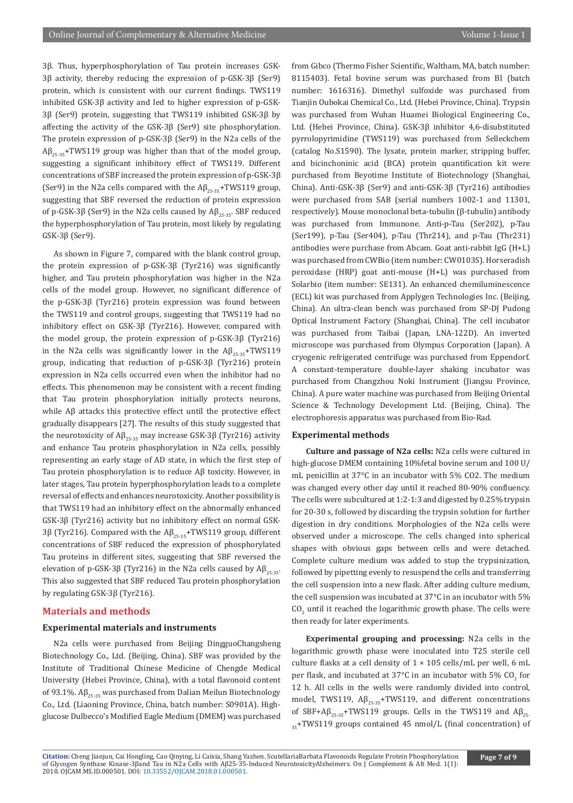3β. Thus, hyperphosphorylation of Tau protein increases GSK-3β activity, thereby reducing the expression of p-GSK-3β (Ser9) protein, which is consistent with our current findings. TWS119 inhibited GSK-3β activity and led to higher expression of p-GSK-3β (Ser9) protein, suggesting that TWS119 inhibited GSK-3β by affecting the activity of the GSK-3β (Ser9) site phosphorylation. The protein expression of p-GSK-3β (Ser9) in the N2a cells of the  $A\beta_{25,35}$ +TWS119 group was higher than that of the model group, suggesting a significant inhibitory effect of TWS119. Different concentrations of SBF increased the protein expression of p-GSK-3β (Ser9) in the N2a cells compared with the  $AB_{25-35}$ +TWS119 group, suggesting that SBF reversed the reduction of protein expression of p-GSK-3β (Ser9) in the N2a cells caused by  $Aβ_{25-35}$ . SBF reduced the hyperphosphorylation of Tau protein, most likely by regulating GSK-3β (Ser9).

As shown in Figure 7, compared with the blank control group, the protein expression of p-GSK-3β (Tyr216) was significantly higher, and Tau protein phosphorylation was higher in the N2a cells of the model group. However, no significant difference of the p-GSK-3β (Tyr216) protein expression was found between the TWS119 and control groups, suggesting that TWS119 had no inhibitory effect on GSK-3β (Tyr216). However, compared with the model group, the protein expression of p-GSK-3β (Tyr216) in the N2a cells was significantly lower in the  $\text{A}\beta_{25-35}$ +TWS119 group, indicating that reduction of p-GSK-3β (Tyr216) protein expression in N2a cells occurred even when the inhibitor had no effects. This phenomenon may be consistent with a recent finding that Tau protein phosphorylation initially protects neurons, while Aβ attacks this protective effect until the protective effect gradually disappears [27]. The results of this study suggested that the neurotoxicity of  $A\beta_{25,35}$  may increase GSK-3β (Tyr216) activity and enhance Tau protein phosphorylation in N2a cells, possibly representing an early stage of AD state, in which the first step of Tau protein phosphorylation is to reduce Aβ toxicity. However, in later stages, Tau protein hyperphosphorylation leads to a complete reversal of effects and enhances neurotoxicity. Another possibility is that TWS119 had an inhibitory effect on the abnormally enhanced GSK-3β (Tyr216) activity but no inhibitory effect on normal GSK-3β (Tyr216). Compared with the  $Aβ_{25-35}$ +TWS119 group, different concentrations of SBF reduced the expression of phosphorylated Tau proteins in different sites, suggesting that SBF reversed the elevation of p-GSK-3β (Tyr216) in the N2a cells caused by  $A\beta_{25-35}$ . This also suggested that SBF reduced Tau protein phosphorylation by regulating GSK-3β (Tyr216).

## **Materials and methods**

#### **Experimental materials and instruments**

N2a cells were purchased from Beijing DingguoChangsheng Biotechnology Co., Ltd. (Beijing, China). SBF was provided by the Institute of Traditional Chinese Medicine of Chengde Medical University (Hebei Province, China), with a total flavonoid content of 93.1%.  $A\beta_{25-35}$  was purchased from Dalian Meilun Biotechnology Co., Ltd. (Liaoning Province, China, batch number: S0901A). Highglucose Dulbecco's Modified Eagle Medium (DMEM) was purchased

from Gibco (Thermo Fisher Scientific, Waltham, MA, batch number: 8115403). Fetal bovine serum was purchased from BI (batch number: 1616316). Dimethyl sulfoxide was purchased from Tianjin Oubokai Chemical Co., Ltd. (Hebei Province, China). Trypsin was purchased from Wuhan Huamei Biological Engineering Co., Ltd. (Hebei Province, China). GSK-3β inhibitor 4,6-disubstituted pyrrolopyrimidine (TWS119) was purchased from Selleckchem (catalog No.S1590). The lysate, protein marker, stripping buffer, and bicinchoninic acid (BCA) protein quantification kit were purchased from Beyotime Institute of Biotechnology (Shanghai, China). Anti-GSK-3β (Ser9) and anti-GSK-3β (Tyr216) antibodies were purchased from SAB (serial numbers 1002-1 and 11301, respectively). Mouse monoclonal beta-tubulin (β-tubulin) antibody was purchased from Immunone. Anti-p-Tau (Ser202), p-Tau (Ser199), p-Tau (Ser404), p-Tau (Thr214), and p-Tau (Thr231) antibodies were purchase from Abcam. Goat anti-rabbit IgG (H+L) was purchased from CWBio (item number: CW0103S). Horseradish peroxidase (HRP) goat anti-mouse (H+L) was purchased from Solarbio (item number: SE131). An enhanced chemiluminescence (ECL) kit was purchased from Applygen Technologies Inc. (Beijing, China). An ultra-clean bench was purchased from SP-DJ Pudong Optical Instrument Factory (Shanghai, China). The cell incubator was purchased from Taibai (Japan, LNA-122D). An inverted microscope was purchased from Olympus Corporation (Japan). A cryogenic refrigerated centrifuge was purchased from Eppendorf. A constant-temperature double-layer shaking incubator was purchased from Changzhou Noki Instrument (Jiangsu Province, China). A pure water machine was purchased from Beijing Oriental Science & Technology Development Ltd. (Beijing, China). The electrophoresis apparatus was purchased from Bio-Rad.

## **Experimental methods**

**Culture and passage of N2a cells:** N2a cells were cultured in high-glucose DMEM containing 10%fetal bovine serum and 100 U/ mL penicillin at 37°C in an incubator with 5% CO2. The medium was changed every other day until it reached 80-90% confluency. The cells were subcultured at 1:2-1:3 and digested by 0.25% trypsin for 20-30 s, followed by discarding the trypsin solution for further digestion in dry conditions. Morphologies of the N2a cells were observed under a microscope. The cells changed into spherical shapes with obvious gaps between cells and were detached. Complete culture medium was added to stop the trypsinization, followed by pipetting evenly to resuspend the cells and transferring the cell suspension into a new flask. After adding culture medium, the cell suspension was incubated at 37°C in an incubator with 5%  $\mathfrak{CO}_2$  until it reached the logarithmic growth phase. The cells were then ready for later experiments.

**Experimental grouping and processing:** N2a cells in the logarithmic growth phase were inoculated into T25 sterile cell culture flasks at a cell density of  $1 \times 105$  cells/mL per well, 6 mL per flask, and incubated at 37°C in an incubator with 5%  $CO_2^2$  for 12 h. All cells in the wells were randomly divided into control, model, TWS119,  $A\beta_{25\cdot35}$ +TWS119, and different concentrations of SBF+A $\beta_{25-35}$ +TWS119 groups. Cells in the TWS119 and A $\beta_{25-}$  $355+TWS119$  groups contained 45 nmol/L (final concentration) of

**Citation:** Cheng Jianjun, Cai Hongling, Cao Qinying, Li Caixia, Shang Yazhen. ScutellariaBarbata Flavonoids Regulate Protein Phosphorylation of Glycogen Synthase Kinase-3βa[nd Tau in N2a Cells with Aβ25-35](http://dx.doi.org/10.33552/OJCAM.2018.01.000501)-Induced NeurotoxicityAlzheimers. On J Complement & Alt Med. 1(1): 2018. OJCAM.MS.ID.000501. DOI: 10.33552/OJCAM.2018.01.000501.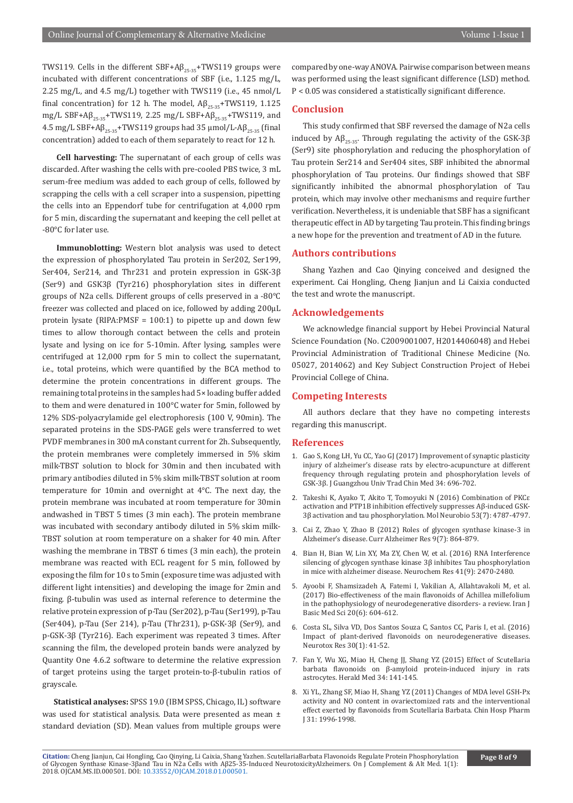TWS119. Cells in the different SBF+A $\beta_{25\cdot35}$ +TWS119 groups were incubated with different concentrations of SBF (i.e., 1.125 mg/L, 2.25 mg/L, and 4.5 mg/L) together with TWS119 (i.e., 45 nmol/L final concentration) for 12 h. The model,  $AB_{25-35}$ +TWS119, 1.125 mg/L SBF+A $\beta_{25-35}$ +TWS119, 2.25 mg/L SBF+A $\beta_{25-35}$ +TWS119, and 4.5 mg/L SBF+ $Aβ_{25-35}$ +TWS119 groups had 35 μmol/L- $Aβ_{25-35}$  (final concentration) added to each of them separately to react for 12 h.

**Cell harvesting:** The supernatant of each group of cells was discarded. After washing the cells with pre-cooled PBS twice, 3 mL serum-free medium was added to each group of cells, followed by scrapping the cells with a cell scraper into a suspension, pipetting the cells into an Eppendorf tube for centrifugation at 4,000 rpm for 5 min, discarding the supernatant and keeping the cell pellet at -80°C for later use.

**Immunoblotting:** Western blot analysis was used to detect the expression of phosphorylated Tau protein in Ser202, Ser199, Ser404, Ser214, and Thr231 and protein expression in GSK-3β (Ser9) and GSK3β (Tyr216) phosphorylation sites in different groups of N2a cells. Different groups of cells preserved in a -80°C freezer was collected and placed on ice, followed by adding 200μL protein lysate (RIPA:PMSF = 100:1) to pipette up and down few times to allow thorough contact between the cells and protein lysate and lysing on ice for 5-10min. After lysing, samples were centrifuged at 12,000 rpm for 5 min to collect the supernatant, i.e., total proteins, which were quantified by the BCA method to determine the protein concentrations in different groups. The remaining total proteins in the samples had 5× loading buffer added to them and were denatured in 100°C water for 5min, followed by 12% SDS-polyacrylamide gel electrophoresis (100 V, 90min). The separated proteins in the SDS-PAGE gels were transferred to wet PVDF membranes in 300 mA constant current for 2h. Subsequently, the protein membranes were completely immersed in 5% skim milk-TBST solution to block for 30min and then incubated with primary antibodies diluted in 5% skim milk-TBST solution at room temperature for 10min and overnight at 4°C. The next day, the protein membrane was incubated at room temperature for 30min andwashed in TBST 5 times (3 min each). The protein membrane was incubated with secondary antibody diluted in 5% skim milk-TBST solution at room temperature on a shaker for 40 min. After washing the membrane in TBST 6 times (3 min each), the protein membrane was reacted with ECL reagent for 5 min, followed by exposing the film for 10 s to 5min (exposure time was adjusted with different light intensities) and developing the image for 2min and fixing. β-tubulin was used as internal reference to determine the relative protein expression of p-Tau (Ser202), p-Tau (Ser199), p-Tau (Ser404), p-Tau (Ser 214), p-Tau (Thr231), p-GSK-3β (Ser9), and p-GSK-3β (Tyr216). Each experiment was repeated 3 times. After scanning the film, the developed protein bands were analyzed by Quantity One 4.6.2 software to determine the relative expression of target proteins using the target protein-to-β-tubulin ratios of grayscale.

**Statistical analyses:** SPSS 19.0 (IBM SPSS, Chicago, IL) software was used for statistical analysis. Data were presented as mean ± standard deviation (SD). Mean values from multiple groups were compared by one-way ANOVA. Pairwise comparison between means was performed using the least significant difference (LSD) method. P < 0.05 was considered a statistically significant difference.

## **Conclusion**

This study confirmed that SBF reversed the damage of N2a cells induced by  $A\beta_{25-35}$ . Through regulating the activity of the GSK-3 $\beta$ (Ser9) site phosphorylation and reducing the phosphorylation of Tau protein Ser214 and Ser404 sites, SBF inhibited the abnormal phosphorylation of Tau proteins. Our findings showed that SBF significantly inhibited the abnormal phosphorylation of Tau protein, which may involve other mechanisms and require further verification. Nevertheless, it is undeniable that SBF has a significant therapeutic effect in AD by targeting Tau protein. This finding brings a new hope for the prevention and treatment of AD in the future.

## **Authors contributions**

Shang Yazhen and Cao Qinying conceived and designed the experiment. Cai Hongling, Cheng Jianjun and Li Caixia conducted the test and wrote the manuscript.

## **Acknowledgements**

We acknowledge financial support by Hebei Provincial Natural Science Foundation (No. C2009001007, H2014406048) and Hebei Provincial Administration of Traditional Chinese Medicine (No. 05027, 2014062) and Key Subject Construction Project of Hebei Provincial College of China.

## **Competing Interests**

All authors declare that they have no competing interests regarding this manuscript.

#### **References**

- 1. [Gao S, Kong LH, Yu CC, Yao GJ \(2017\) Improvement of synaptic plasticity](http://wprim.whocc.org.cn/admin/article/articleDetail?WPRIMID=611093&articleId=611093&locale=zh_CN)  [injury of alzheimer's disease rats by electro-acupuncture at different](http://wprim.whocc.org.cn/admin/article/articleDetail?WPRIMID=611093&articleId=611093&locale=zh_CN)  [frequency through regulating protein and phosphorylation levels of](http://wprim.whocc.org.cn/admin/article/articleDetail?WPRIMID=611093&articleId=611093&locale=zh_CN)  [GSK-3β. J Guangzhou Univ Trad Chin Med 34: 696-702.](http://wprim.whocc.org.cn/admin/article/articleDetail?WPRIMID=611093&articleId=611093&locale=zh_CN)
- 2. [Takeshi K, Ayako T, Akito T, Tomoyuki N \(2016\) Combination of PKCε](https://www.ncbi.nlm.nih.gov/pubmed/26328540)  [activation and PTP1B inhibition effectively suppresses Aβ-induced GSK-](https://www.ncbi.nlm.nih.gov/pubmed/26328540)[3β activation and tau phosphorylation. Mol Neurobio 53\(7\): 4787-4797.](https://www.ncbi.nlm.nih.gov/pubmed/26328540)
- 3. [Cai Z, Zhao Y, Zhao B \(2012\) Roles of glycogen synthase kinase-3 in](https://www.ncbi.nlm.nih.gov/pubmed/22272620)  [Alzheimer's disease. Curr Alzheimer Res 9\(7\): 864-879.](https://www.ncbi.nlm.nih.gov/pubmed/22272620)
- 4. [Bian H, Bian W, Lin XY, Ma ZY, Chen W, et al. \(2016\) RNA Interference](https://www.ncbi.nlm.nih.gov/pubmed/27255602)  [silencing of glycogen synthase kinase 3β inhibites Tau phosphorylation](https://www.ncbi.nlm.nih.gov/pubmed/27255602)  [in mice with alzheimer disease. Neurochem Res 41\(9\): 2470-2480.](https://www.ncbi.nlm.nih.gov/pubmed/27255602)
- 5. [Ayoobi F, Shamsizadeh A, Fatemi I, Vakilian A, Allahtavakoli M, et al.](https://www.ncbi.nlm.nih.gov/pubmed/28868116)  [\(2017\) Bio-effectiveness of the main flavonoids of Achillea millefolium](https://www.ncbi.nlm.nih.gov/pubmed/28868116)  [in the pathophysiology of neurodegenerative disorders- a review. Iran J](https://www.ncbi.nlm.nih.gov/pubmed/28868116)  [Basic Med Sci 20\(6\): 604-612.](https://www.ncbi.nlm.nih.gov/pubmed/28868116)
- 6. [Costa SL, Silva VD, Dos Santos Souza C, Santos CC, Paris I, et al. \(2016\)](https://www.ncbi.nlm.nih.gov/pubmed/26951456)  [Impact of plant-derived flavonoids on neurodegenerative diseases.](https://www.ncbi.nlm.nih.gov/pubmed/26951456)  [Neurotox Res 30\(1\): 41-52.](https://www.ncbi.nlm.nih.gov/pubmed/26951456)
- 7. Fan Y, Wu XG, Miao H, Cheng JJ, Shang YZ (2015) Effect of Scutellaria barbata flavonoids on β-amyloid protein-induced injury in rats astrocytes. Herald Med 34: 141-145.
- 8. Xi YL, Zhang SF, Miao H, Shang YZ (2011) Changes of MDA level GSH-Px activity and NO content in ovariectomized rats and the interventional effect exerted by flavonoids from Scutellaria Barbata. Chin Hosp Pharm J 31: 1996-1998.

**Citation:** Cheng Jianjun, Cai Hongling, Cao Qinying, Li Caixia, Shang Yazhen. ScutellariaBarbata Flavonoids Regulate Protein Phosphorylation of Glycogen Synthase Kinase-3βa[nd Tau in N2a Cells with Aβ25-35](http://dx.doi.org/10.33552/OJCAM.2018.01.000501)-Induced NeurotoxicityAlzheimers. On J Complement & Alt Med. 1(1): 2018. OJCAM.MS.ID.000501. DOI: 10.33552/OJCAM.2018.01.000501.